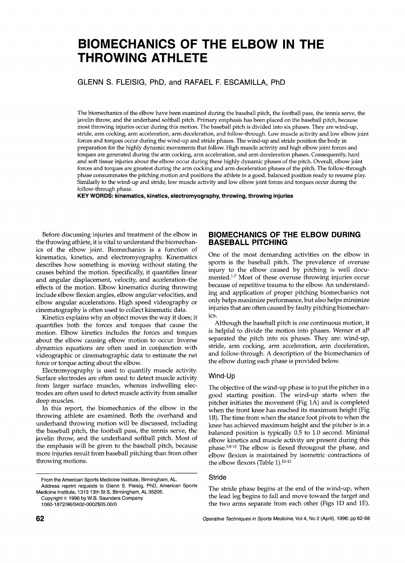# **BIOMECHANICS OF THE ELBOW IN THE THROWING ATHLETE**

# **GLENN S. FLEISIG, PhD, and RAFAEL E ESCAMILLA, PhD**

The biomechanics of the elbow have been examined during the baseball pitch, the football pass, the tennis serve, the javelin throw, and the underhand softball pitch. Primary emphasis has been placed on the baseball pitch, because most throwing injuries occur during this motion. The baseball pitch is divided into six phases. They are wind-up, stride, arm cocking, arm acceleration, arm deceleration, and follow-through. Low muscle activity and low elbow joint forces and torques occur during the wind-up and stride phases. The wind-up and stride position the body in preparation for the highly dynamic movements that follow. High muscle activity and high elbow joint forces and torques are generated during the arm cocking, arm acceleration, and arm deceleration phases. Consequently, hard and soft tissue injuries about the elbow occur during these highly dynamic phases of the pitch. Overall, elbow joint forces and torques are greatest during the arm cocking and arm deceleration phases of the pitch. The follow-through phase consummates the pitching motion and positions the athlete in a good, balanced position ready to resume play. Similarly to the wind-up and stride, low muscle activity and low elbow joint forces and torques occur during the follow-through phase.

**KEY WORDS: kinematics, kinetics, electromyography, throwing, throwing injuries** 

Before discussing injuries and treatment of the elbow in the throwing athlete, it is vital to understand the biomechanics of the elbow joint. Biomechanics is a function of kinematics, kinetics, and electromyography. Kinematics describes how something is moving without stating the causes behind the motion. Specifically, it quantifies linear and angular displacement, velocity, and acceleration-the effects of the motion. Elbow kinematics during throwing include elbow flexion angles, elbow angular velocities, and elbow angular accelerations. High speed videography or cinematography is often used to collect kinematic data.

Kinetics explains why an object moves the way it does; it quantifies both the forces and torques that cause the motion. Elbow kinetics includes the forces and torques about the elbow causing elbow motion to occur. Inverse dynamics equations are often used in conjunction with videographic or cinematographic data to estimate the net force or torque acting about the elbow.

Electromyography is used to quantify muscle activity. Surface electrodes are often used to detect muscle activity from larger surface muscles, whereas indwelling electrodes are often used to detect muscle activity from smaller deep muscles.

In this report, the biomechanics of the elbow in the throwing athlete are examined. Both the overhand and underhand throwing motion will be discussed, including the baseball pitch, the football pass, the tennis serve, the javelin throw, and the underhand softball pitch. Most of the emphasis will be given to the baseball pitch, because more injuries result from baseball pitching than from other throwing motions.

Copyright © 1996 by W.B. Saunders Company 1060-1872/96/0402-0002505.00/0

**BIOMECHANICS OF THE ELBOW DURING BASEBALL PITCHING** 

One of the most demanding activities on the elbow in sports is the baseball pitch. The prevalence of overuse injury to the elbow caused by pitching is well documented.<sup>1-7</sup> Most of these overuse throwing injuries occur because of repetitive trauma to the elbow. An understanding and application of proper pitching biomechanics not only helps maximize performance, but also helps minimize injuries that are often caused by faulty pitching biomechanics.

Although the baseball pitch is one continuous motion, it is helpful to divide the motion into phases. Werner et  $al<sup>8</sup>$ separated the pitch into six phases. They are: wind-up, stride, arm cocking, arm acceleration, arm deceleration, and follow-through. A description of the biomechanics of the elbow during each phase is provided below.

#### **Wind-Up**

The objective of the wind-up phase is to put the pitcher in a good starting position. The wind-up starts when the pitcher initiates the movement (Fig 1A) and is completed when the front knee has reached its maximum height (Fig 1B). The time from when the stance foot pivots to when the knee has achieved maximum height and the pitcher is in a balanced position is typically 0.5 to 1.0 second. Minimal elbow kinetics and muscle activity are present during this phase. 3,8-1° The elbow is flexed througout the phase, and elbow flexion is maintained by isometric contractions of the elbow flexors (Table 1).<sup>10-12</sup>

#### **Stride**

The stride phase begins at the end of the wind-up, when the lead leg begins to fall and move toward the target and the two arms separate from each other (Figs 1D and 1E).

From the American Sports Medicine Institute, Birmingham, AL. **Address reprint** requests to Glenn S. Fleisig, PhD, American Sports **Medicine** Institute, 1313 13th St S, Birmingham, AL 35205.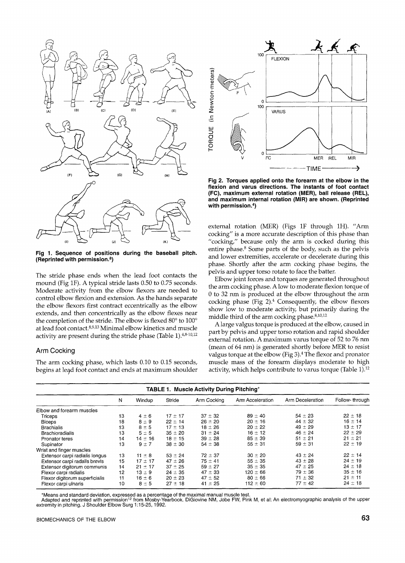

**Fig 1. Sequence of positions during the baseball pitch. (Reprinted with permission, s )** 

The stride phase ends when the lead foot contacts the mound (Fig 1F). A typical stride lasts 0.50 to 0.75 seconds. Moderate activity from the elbow flexors are needed to control elbow flexion and extension. As the hands separate the elbow flexors first contract eccentrically as the elbow extends, and then concentrically as the elbow flexes near the completion of the stride. The elbow is flexed  $80^{\circ}$  to  $100^{\circ}$ at lead foot contact. 8,9,13 Minimal elbow kinetics and muscle activity are present during the stride phase (Table 1). 4,8-10,12

#### Arm Cocking

The arm cocking phase, which lasts 0.10 to 0.15 seconds, begins at legd foot contact and ends at maximum shoulder



**Fig 2. Torques applied onto the forearm at the elbow in the flexion and varus directions. The instants of foot contact (FC), maximum external rotation (MER), ball release (REL), and maximum internal rotation (MIR) are shown. (Reprinted with permission. 4)** 

external rotation (MER) (Figs 1F through 1H). "Arm cocking" is a more accurate description of this phase than "cocking," because only the arm is cocked during this entire phase. $8$  Some parts of the body, such as the pelvis and lower extremities, accelerate or decelerate during this phase. Shortly after the arm cocking phase begins, the pelvis and upper torso rotate to face the batter.

Elbow joint forces and torques are generated throughout the arm cocking phase. A low to moderate flexion torque of 0 to 32 nm is produced at the elbow throughout the arm cocking phase (Fig  $2$ ).<sup>4</sup> Consequently, the elbow flexors show low to moderate activity, but primarily during the middle third of the arm cocking phase.<sup>8,10,12</sup>

A large valgus torque is produced at the elbow, caused in part by pelvis and upper torso rotation and rapid shoulder external rotation. A maximum varus torque of 52 to 76 nm (mean of 64 nm) is generated shortly before MER to resist valgus torque at the elbow (Fig 3).<sup>4</sup> The flexor and pronator muscle mass of the forearm displays moderate to high activity, which helps contribute to varus torque (Table 1). 12

| TABLE 1. Muscle Activity During Pitching* |    |             |             |             |                  |                  |                |  |  |  |
|-------------------------------------------|----|-------------|-------------|-------------|------------------|------------------|----------------|--|--|--|
|                                           | N  | Windup      | Stride      | Arm Cocking | Arm Acceleration | Arm Deceleration | Follow-through |  |  |  |
| Elbow and forearm muscles                 |    |             |             |             |                  |                  |                |  |  |  |
| Triceps                                   | 13 | $4 \pm 6$   | $17 \pm 17$ | $37 \pm 32$ | $89 \pm 40$      | $54 \pm 23$      | $22 \pm 18$    |  |  |  |
| <b>Biceps</b>                             | 18 | $8 \pm 9$   | $22 \pm 14$ | $26 \pm 20$ | $20 \pm 16$      | $44 \pm 32$      | $16 \pm 14$    |  |  |  |
| <b>Brachialis</b>                         | 13 | $8 \pm 5$   | $17 \pm 13$ | $18 \pm 26$ | $20 \pm 22$      | $49 \pm 29$      | $13 \pm 17$    |  |  |  |
| <b>Brachioradialis</b>                    | 13 | $5 \pm 5$   | $35 \pm 20$ | $31 \pm 24$ | $16 \pm 12$      | $46 \pm 24$      | $22 \pm 29$    |  |  |  |
| Pronator teres                            | 14 | $14 \pm 16$ | $18 \pm 15$ | $39 \pm 28$ | $85 \pm 39$      | $51 \pm 21$      | $21 \pm 21$    |  |  |  |
| Supinator                                 | 13 | $9 \pm 7$   | $38 \pm 30$ | $54 \pm 38$ | $55 \pm 31$      | $59 \pm 31$      | $22 \pm 19$    |  |  |  |
| Wrist and finger muscles                  |    |             |             |             |                  |                  |                |  |  |  |
| Extensor carpi radialis longus            | 13 | $11 \pm 8$  | $53 \pm 24$ | $72 \pm 37$ | $30 \pm 20$      | $43 \pm 24$      | $22 \pm 14$    |  |  |  |
| Extensor carpi radalis brevis             | 15 | $17 \pm 17$ | $47 \pm 26$ | $75 \pm 41$ | $55 \pm 35$      | $43 \pm 28$      | $24 \pm 19$    |  |  |  |
| Extensor digitorum communis               | 14 | $21 \pm 17$ | $37 \pm 25$ | $59 \pm 27$ | $35 \pm 35$      | $47 \pm 25$      | $24 \pm 18$    |  |  |  |
| Flexor carpi radialis                     | 12 | $13 \pm 9$  | $24 \pm 35$ | $47 \pm 33$ | $120 \pm 66$     | $79 \pm 36$      | $35 \pm 16$    |  |  |  |
| Flexor digitorum superficialis            | 11 | $16 \pm 6$  | $20 \pm 23$ | $47 \pm 52$ | $80 \pm 66$      | $71 \pm 32$      | $21 \pm 11$    |  |  |  |
| Flexor carpi ulnaris                      | 10 | $8 \pm 5$   | $27 \pm 18$ | $41 \pm 25$ | $112 \pm 60$     | $77 \pm 42$      | $24 \pm 18$    |  |  |  |

\*Means and standard deviation, expressed as a percentage of the maximal manual muscle test.<br>Adapted and reprinted with permission<sup>12</sup> from Mosby-Yearbook. DiGiovine NM, Jobe FW, Pink M, extremity in pitching. J Shoulder Elbow Surg 1:15-25, 1992. et at: An electromyographic analysis of the upper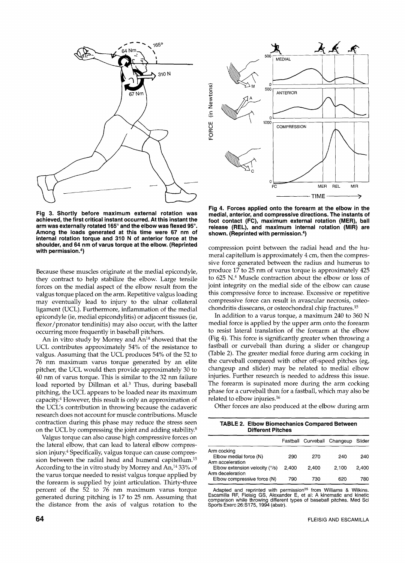

**Fig 3. Shortly before maximum external rotation was achieved, the first critical instant occurred. At this instant the**  arm was externally rotated 165° and the elbow was flexed 95°. **Among the loads generated at this time were 67 nm of internal rotation torque and 310 N of anterior force at the shoulder, and 64 nm of varus torque at the elbow. (Reprinted with permission. 4)** 

Because these muscles originate at the medial epicondyle, they contract to help stabilize the elbow. Large tensile forces on the medial aspect of the elbow result from the valgus torque placed on the arm. Repetitive valgus loading may eventually lead to injury to the ulnar collateral ligament (UCL). Furthermore, inflammation of the medial epicondyle (ie, medial epicondylitis) or adjacent tissues (ie, flexor/pronator tendinitis) may also occur, with the latter occurring more frequently in baseball pitchers.

An in vitro study by Morrey and  $An<sup>14</sup>$  showed that the UCL contributes approximately 54% of the resistance to valgus. Assuming that the UCL produces 54% of the 52<sub>to</sub> 76 nm maximum varus torque generated by an elite pitcher, the UCL would then provide approximately 30 to 40 nm of varus torque. This is similar to the 32 nm failure load reported by Dillman et al.<sup>3</sup> Thus, during baseball pitching, the UCL appears to be loaded near its maximum capacity.<sup>4</sup> However, this result is only an approximation of the UCL's contribution in throwing because the cadaveric research does not account for muscle contributions. Muscle contraction during this phase may reduce the stress seen on the UCL by compressing the joint and adding stability. $8$ 

Valgus torque can also cause high compressive forces on the lateral elbow, that can lead to lateral elbow compression injury.<sup>4</sup> Specifically, valgus torque can cause compression between the radial head and humeral capitellum.<sup>15</sup> According to the in vitro study by Morrey and An, 14 33% of the varus torque needed to resist valgus torque applied by the forearm is supplied by joint articulation. Thirty-three percent of the 52 to 76 nm maximum varus torque generated during pitching is 17 to 25 nm. Assuming that the distance from the axis of valgus rotation to the



**Fig 4. Forces applied onto the forearm at the elbow in the medial, anterior, and compressive directions. The instants of foot contact (FC), maximum external rotation (MER), ball release (REL), and maximum internal rotation (MIR) are shown. (Reprinted with permission. 4)** 

compression point between the radial head and the humeral capitellum is approximately 4 cm, then the compressive force generated between the radius and humerus to produce 17 to 25 nm of varus torque is approximately 425 to 625 N.<sup>4</sup> Muscle contraction about the elbow or loss of joint integrity on the medial side of the elbow can cause this compressive force to increase. Excessive or repetitive compressive force can result in avascular necrosis, osteochondritis dissecans, or osteochondral chip fractures. 15

In addition to a varus torque, a maximum 240 to 360 N medial force is applied by the upper arm onto the forearm to resist lateral translation of the forearm at the elbow (Fig 4). This force is significantly greater when throwing a fastball or curveball than during a slider or changeup (Table 2). The greater medial force during arm cocking in the curveball compared with other off-speed pitches (eg, changeup and slider) may be related to medial elbow injuries. Further research is needed to address this issue. The forearm is supinated more during the arm cocking phase for a curveball than for a fastball, which may also be related to elbow injuries. 16

Other forces are also produced at the elbow during arm

| <b>TABLE 2. Elbow Biomechanics Compared Between</b> |
|-----------------------------------------------------|
| <b>Different Pitches</b>                            |

|                                  |       |       | Fastball Curveball Changeup Slider |       |
|----------------------------------|-------|-------|------------------------------------|-------|
| Arm cocking                      |       |       |                                    |       |
| Elbow medial force (N)           | 290   | 270   | 240                                | 240   |
| Arm acceleration                 |       |       |                                    |       |
| Elbow extension velocity $(°/s)$ | 2,400 | 2.400 | 2.100                              | 2.400 |
| Arm deceleration                 |       |       |                                    |       |
| Elbow compressive force (N)      | 790   | 730   | 620                                | 780   |

Adapted and reprinted with permission<sup>35</sup> from Williams & Wilkins. Escamilla RF, Fleisig GS, Alexander E, et al: A kinematic and kinetic comparison while throwing different types of baseball pitches. Med Sci Sports Exerc 26:\$175, 1994 (abstr).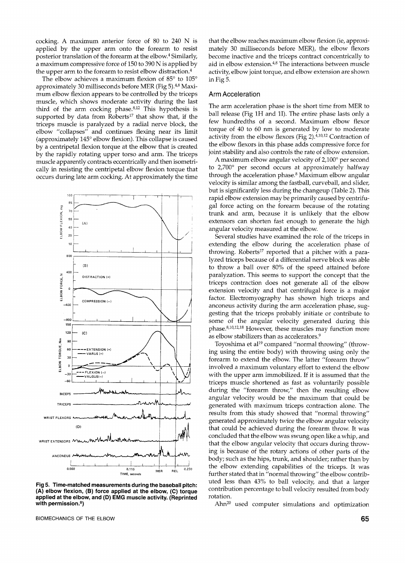cocking. A maximum anterior force of 80 to 240 N is applied by the upper arm onto the forearm to resist posterior translation of the forearm at the elbow. 4 Similarly, a maximum compressive force of 150 to 390 N is applied by the upper arm to the forearm to resist elbow distraction. 4

The elbow achieves a maximum flexion of  $85^{\circ}$  to  $105^{\circ}$ approximately 30 milliseconds before MER (Fig  $5$ ).<sup>4,8</sup> Maximum elbow flexion appears to be controlled by the triceps muscle, which shows moderate activity during the last third of the arm cocking phase. $8,12$  This hypothesis is supported by data from Roberts<sup>17</sup> that show that, if the triceps muscle is paralyzed by a radial nerve block, the elbow "collapses" and continues flexing near its limit (approximately 145° elbow flexion). This collapse is caused by a centripetal flexion torque at the elbow that is created by the rapidly rotating upper torso and arm. The triceps muscle apparently contracts eccentrically and then isometrically in resisting the centripetal elbow flexion torque that occurs during late arm cocking. At approximately the time



**Fig 5. Time-matched measurements during the baseball pitch: (A) elbow flexion, (B) force applied at the elbow, (C) torque applied at the elbow, and (D) EMG muscle activity. (Reprinted**  with permission.<sup>8</sup>)

BIOMECHANICS OF THE ELBOW 65

that the elbow reaches maximum elbow flexion (ie, approximately 30 milliseconds before MER), the elbow flexors become inactive and the triceps contract concentrically to aid in elbow extension.<sup>4,8</sup> The interactions between muscle activity, elbow joint torque, and elbow extension are shown in Fig 5.

#### Arm Acceleration

The arm acceleration phase is the short time from MER to ball release (Fig 1H and 1I). The entire phase lasts only a few hundredths of a second. Maximum elbow flexor torque of 40 to 60 nm is generated by low to moderate activity from the elbow flexors (Fig 2). $4,10,12$  Contraction of the elbow flexors in this phase adds compressive force for joint stability and also controls the rate of elbow extension.

A maximum elbow angular velocity of  $2,100^{\circ}$  per second to 2,700° per second occurs at approximately halfway through the acceleration phase? Maximum elbow angular velocity is similar among the fastball, curveball, and slider, but is significantly less during the changeup (Table 2). This rapid elbow extension may be primarily caused by centrifugal force acting on the forearm because of the rotating trunk and arm, because it is unlikely that the elbow extensors can shorten fast enough to generate the high angular velocity measured at the elbow.

Several studies have examined the role of the triceps in extending the elbow during the acceleration phase of throwing. Roberts<sup>17</sup> reported that a pitcher with a paralyzed triceps because of a differential nerve block was able to throw a ball over 80% of the speed attained before paralyzation. This seems to support the concept that the triceps contraction does not generate all of the elbow extension velocity and that centrifugal force is a major factor. Electromyography has shown high triceps and anconeus activity during the arm acceleration phase, suggesting that the triceps probably initiate or contribute to some of the angular velocity generated during this phase.<sup>8,10,12,18</sup> However, these muscles may function more as elbow stabilizers than as accelerators.<sup>9</sup>

Toyoshima et a119 compared "normal throwing" (throwing using the entire body) with throwing using only the forearm to extend the elbow. The latter "forearm throw" involved a maximum voluntary effort to extend the elbow with the upper arm immobilized. If it is assumed that the triceps muscle shortened as fast as voluntarily possible during the "forearm throw," then the resulting elbow angular velocity would be the maximum that could be generated with maximum triceps contraction alone. The results from this study showed that "normal throwing" generated approximately twice the elbow angular velocity that could be achieved during the forearm throw. It was concluded that the elbow was swung open like a whip, and that the elbow angular velocity that occurs during throwing is because of the rotary actions of other parts of the body; such as the hips, trunk, and shoulder; rather than by the elbow extending capabilities of the triceps. It was further stated that in "normal throwing" the elbow contributed less than 43% to ball velocity, and that a larger contribution percentage to ball velocity resulted from body rotation.

Ahn<sup>20</sup> used computer simulations and optimization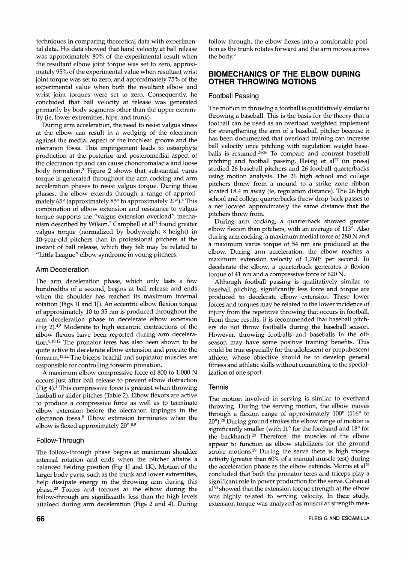techniques in comparing theoretical data with experimental data. His data showed that hand velocity at ball release was approximately 80% of the experimental result when the resultant elbow joint torque was set to zero, approximately 95% of the experimental value when resultant wrist joint torque was set to zero, and approximately 75% of the experimental value when both the resultant elbow and wrist joint torques were set to zero. Consequently, he concluded that ball velocity at release was generated primarily by body segments other than the upper extremity (ie, lower extremities, hips, and trunk).

During arm acceleration, the need to resist valgus stress at the elbow can result in a wedging of the olecranon against the medial aspect of the trochlear groove and the olecranon fossa. This impingement leads to osteophyte production at the posterior and posteromedial aspect of the olecranon tip and can cause chondromalacia and loose body formation.<sup>7</sup> Figure 2 shows that substantial varus torque is generated throughout the arm cocking and arm acceleration phases to resist valgus torque. During these phases, the elbow extends through a range of approximately  $65^\circ$  (approximately  $85^\circ$  to approximately  $20^\circ$ ).<sup>4</sup> This combination of elbow extension and resistance to valgus torque supports the "valgus extension overload" mechanism described by Wilson.<sup>7</sup> Campbell et al<sup>21</sup> found greater valgus torque (normalized by bodyweight  $\times$  height) in 10-year-old pitchers than in professional pitchers at the instant of ball release, which they felt may be related to "Little League" elbow syndrome in young pitchers.

## Arm **Deceleration**

The arm deceleration phase, which only lasts a few hundredths of a second, begins at ball release and ends when the shoulder has reached its maximum internal rotation (Figs 1I and 1J). An eccentric elbow flexion torque of approximately 10 to 35 nm is produced throughout the arm deceleration phase to decelerate elbow extension (Fig 2). 4,8 Moderate to high eccentric contractions of the elbow flexors have been reported during arm deceleration.<sup>8,10,12</sup> The pronator teres has also been shown to be quite active to decelerate elbow extension and pronate the forearm. 12,22 The biceps brachii and supinator muscles are responsible for controlling forearm pronation.

A maximum elbow compressive force of 800 to 1,000 N occurs just after ball release to prevent elbow distraction (Fig 4).<sup>4</sup> This compressive force is greatest when throwing fastball or slider pitches (Table 2). Elbow flexors are active to produce a compressive force as well as to terminate elbow extension before the olecranon impinges in the olecranon fossa.<sup>8</sup> Elbow extension terminates when the elbow is flexed approximately  $20^{\circ}.8,9$ 

# **Follow-Through**

The follow-through phase begins at maximum shoulder internal rotation and ends when the pitcher attains a balanced fielding position (Fig 1J and 1K). Motion of the larger body parts, such as the trunk and lower extremities, help dissipate energy in the throwing arm during this phase. 23 Forces and torques at the elbow during the follow-through are significantly less than the high levels attained during arm deceleration (Figs 2 and 4). During follow-through, the elbow flexes into a comfortable position as the trunk rotates forward and the arm moves across the body.<sup>9</sup>

# **BIOMECHANICS OF THE ELBOW DURING OTHER THROWING MOTIONS**

## **Football Passing**

The motion in throwing a football is qualitatively similar to throwing a baseball. This is the basis for the theory that a football can be used as an overload weighted implement for strengthening the arm of a baseball pitcher because it has been documented that overload training can increase ball velocity once pitching with regulation weight baseballs is resumed.<sup>24-26</sup> To compare and contrast baseball pitching and football passing, Fleisig et  $al^{27}$  (in press) studied 26 baseball pitchers and 26 football quarterbacks using motion analysis. The 26 high school and college pitchers threw from a mound to a strike zone ribbon located 18.4 m away (ie, regulation distance). The 26 high school and college quarterbacks threw drop-back passes to a net located approximately the same distance that the pitchers threw from.

During arm cocking, a quarterback showed greater elbow flexion than pitchers, with an average of 113°. Also during arm cocking, a maximum medial force of 280 N and a maximum varus torque of 54 nm are produced at the elbow. During arm acceleration, the elbow reaches a maximum extension velocity of  $1,760^{\circ}$  per second. To decelerate the elbow, a quarterback generates a flexion torque of 41 nm and a compressive force of 620 N.

Although football passing is qualitatively similar to baseball pitching, significantly less force and torque are produced to decelerate elbow extension. These lower forces and torques may be related to the lower incidence of injury from the repetitive throwing that occurs in football. From these results, it is recommended that baseball pitchers do not throw footballs during the baseball season. However, throwing footballs and baseballs in the offseason may have some positive training benefits. This could be true especially for the adolescent or prepubescent athlete, whose objective should be to develop general fitness and athletic skills without committing to the specialization of one sport.

# **Tennis**

The motion involved in serving is similar to overhand throwing. During the serving motion, the elbow moves through a flexion range of approximately  $100^{\circ}$  (116 $^{\circ}$  to 20°).<sup>28</sup> During ground strokes the elbow range of motion is significantly smaller (with  $11^{\circ}$  for the forehand and  $18^{\circ}$  for the backhand).<sup>28</sup> Therefore, the muscles of the elbow appear to function as elbow stabilizers for the ground stroke motions.<sup>29</sup> During the serve there is high triceps activity (greater than 60% of a manual muscle test) during the acceleration phase as the elbow extends. Morris et al<sup>2</sup> concluded that both the pronator teres and triceps play a significant role in power production for the serve. Cohen et al<sup>30</sup> showed that the extension torque strength at the elbow was highly related to serving velocity. In their study, extension torque was analyzed as muscular strength mea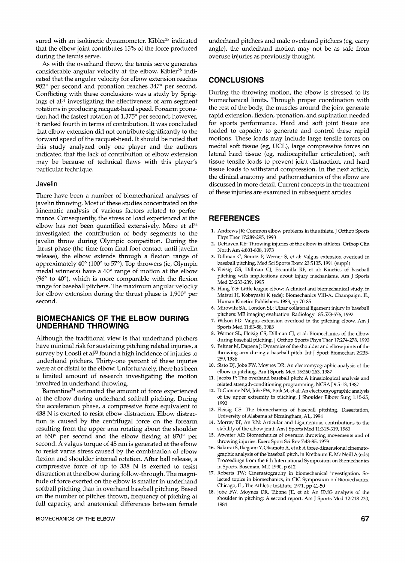sured with an isokinetic dynamometer. Kibler<sup>28</sup> indicated that the elbow joint contributes 15% of the force produced during the tennis serve.

As with the overhand throw, the tennis serve generates considerable angular velocity at the elbow. Kibler<sup>28</sup> indicated that the angular velocity for elbow extension reaches 982° per second and pronation reaches 347° per second. Conflicting with these conclusions was a study by Sprigings et a131 investigating the effectiveness of arm segment rotations in producing racquet-head speed. Forearm pronation had the fastest rotation of 1,375° per second; however, it ranked fourth in terms of contribution. It was concluded that elbow extension did not contribute significantly to the forward speed of the racquet-head. It should be noted that this study analyzed only one player and the authors indicated that the lack of contribution of elbow extension may be because of technical flaws with this player's particular technique.

#### **Javelin**

There have been a number of biomechanical analyses of javelin throwing. Most of these studies concentrated on the kinematic analysis of various factors related to performance. Consequently, the stress or load experienced at the elbow has not been quantified extensively. Mero et  $al<sup>32</sup>$ investigated the contribution of body segments to the javelin throw during Olympic competition. During the thrust phase (the time from final foot contact until javelin release), the elbow extends through a flexion range of approximately  $40^{\circ}$  (100 $^{\circ}$  to 57 $^{\circ}$ ). Top throwers (ie, Olympic medal winners) have a  $60^\circ$  range of motion at the elbow (96 $\degree$  to 40 $\degree$ ), which is more comparable with the flexion range for baseball pitchers. The maximum angular velocity for elbow extension during the thrust phase is 1,900° per second.

## **BIOMECHANICS OF THE ELBOW DURING UNDERHAND THROWING**

Although the traditional view is that underhand pitchers have minimal risk for sustaining pitching related injuries, a survey by Loosli et al<sup>33</sup> found a high incidence of injuries to underhand pitchers. Thirty-one percent of these injuries were at or distal to the elbow. Unfortunately, there has been a limited amount of research investigating the motion involved in underhand throwing.

Barrentine<sup>34</sup> estimated the amount of force experienced at the elbow during underhand softball pitching. During the acceleration phase, a compressive force equivalent to 438 N is exerted to resist elbow distraction. Elbow distraction is caused by the centrifugal force on the forearm resulting from the upper arm rotating about the shoulder at  $650^\circ$  per second and the elbow flexing at  $870^\circ$  per second. A valgus torque of 45 nm is generated at the elbow to resist varus stress caused by the combination of elbow flexion and shoulder internal rotation. After ball release, a compressive force of up to 338 N is exerted to resist distraction at the elbow during follow-through. The magnitude of force exerted on the elbow is smaller in underhand softball pitching than in overhand baseball pitching. Based on the number of pitches thrown, frequency of pitching at full capacity, and anatomical differences between female

underhand pitchers and male overhand pitchers (eg, carry angle), the underhand motion may not be as safe from overuse injuries as previously thought.

#### **CONCLUSIONS**

During the throwing motion, the elbow is stressed to its biomechanical limits. Through proper coordination with the rest of the body, the muscles around the joint generate rapid extension, flexion, pronation, and supination needed for sports performance. Hard and soft joint tissue are loaded to capacity to generate and control these rapid motions. These loads may include large tensile forces on medial soft tissue (eg, UCL), large compressive forces on lateral hard tissue (eg, radiocapitellar articulation), soft tissue tensile loads to prevent joint distraction, and hard tissue loads to withstand compression. In the next article, the clinical anatomy and pathomechanics of the elbow are discussed in more detail. Current concepts in the treatment of these injuries are examined in subsequent articles.

#### **REFERENCES**

- 1. Andrews JR: Common elbow problems in the athlete. J Orthop Sports Phys Ther 17:289-295, 1993
- 2. DeHaven KE: Throwing injuries of the elbow in athletes. Orthop Clin North Am 4:801-808, 1973
- 3. Dillman C, Smutz P, Werner S, et al: Valgus extension overload in baseball pitching. Med Sci Sports Exerc 23:\$135, 1991 (suppI)
- 4. Fleisig GS, Dillman CJ, Escamilla RF, et al: Kinetics of baseball pitching with implications about injury mechanisms. Am J Sports Med 23:233-239,1995
- 5. Hang Y-S: Little league elbow: A clinical and biomechanical study, in Matsui H, Kobayashi K (eds): Biomechanics VIII-A. Champaign, IL, Human Kinetics Publishers, 1983, pp 70-85
- 6. Mirowitz SA, London SL: Ulnar collateral ligament injury in baseball pitchers: MR imaging evaluation. Radiology 185:573-576, 1992
- 7. Wilson FD: Valgus extension overload in the pitching elbow. Am J Sports Med 11:83-88, 1983
- 8. Werner SL, Fleisig GS, Dillman CJ, et al: Biomechanics of the elbow during baseball pitching. J Orthop Sports Phys Ther 17:274-278, 1993
- 9. Feltner M, Dapena J: Dynamics of the shoulder and elbow joints of the throwing arm during a baseball pitch. Int J Sport Biomechan 2:235- 259,1986
- 10. Sisto DJ, Jobe FW, Moynes DR: An electromyographic analysis of the elbow in pitching. Am J Sports Med 15:260-263, 1987
- 11. Jacobs P: The overhand baseball pitch: A kinesiological analysis and related strength-conditioning programming. NCSAJ 9:5-13, 1987
- 12. DiGiovine NM, Jobe FW, Pink M, et al: An electromyographic analysis of the upper extremity in pitching. J Shoulder Elbow Surg 1:15-25, 1992
- 13. Fleisig GS: The biomechanics of baseball pitching. Dissertation, University of Alabama at Birmingham, AL, 1994
- 14. Morrey BF, An KN: Articular and Ligamentous contributions to the stability of the elbow joint. Am J Sports Med 11:315-319,1983
- 15. Atwater AE: Biomechanics of overarm throwing movements and of throwing injuries. Exerc Sport Sci Rev 7:43-85, 1979
- 16. Sakurai S, Ikegami Y, Okamoto A, et al: A three-dimensional cinematographic analysis of the baseball pitch, in Kreibaum E, Mc Neill A (eds) Proceedings from the 6th International Symposium on Biomechanics in Sports. Boseman, MT, 1990, p 612
- 17. Roberts TW: Cinematography in biomechanical investigation. Selected topics in biomechanics, in CIC Symposium on Biomechanics. Chicago, IL, The Athletic Institute, 1971, pp 41-50
- 18. Jobe FW, Moynes DR, Tibone JE, et al: An EMG analysis of the shoulder in pitching: A second report. Am J Sports Med 12:218-220, 1984